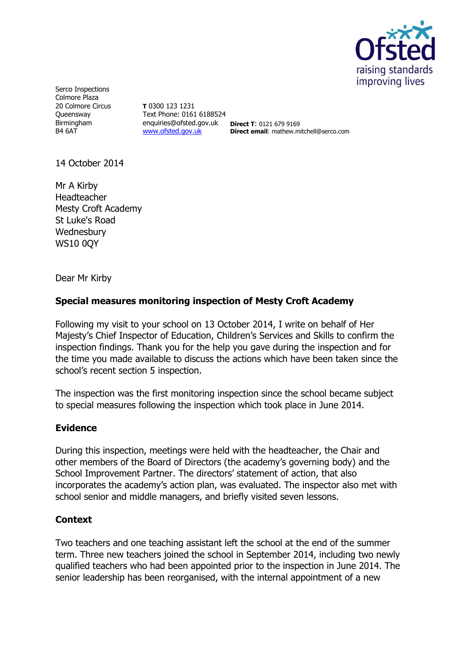

Serco Inspections Colmore Plaza 20 Colmore Circus Queensway Birmingham B4 6AT

**T** 0300 123 1231 Text Phone: 0161 6188524 enquiries@ofsted.gov.uk **Direct T**: 0121 679 9169 [www.ofsted.gov.uk](http://www.ofsted.gov.uk/)

**Direct email**: mathew.mitchell@serco.com

14 October 2014

Mr A Kirby Headteacher Mesty Croft Academy St Luke's Road **Wednesbury** WS10 0QY

Dear Mr Kirby

## **Special measures monitoring inspection of Mesty Croft Academy**

Following my visit to your school on 13 October 2014, I write on behalf of Her Majesty's Chief Inspector of Education, Children's Services and Skills to confirm the inspection findings. Thank you for the help you gave during the inspection and for the time you made available to discuss the actions which have been taken since the school's recent section 5 inspection.

The inspection was the first monitoring inspection since the school became subject to special measures following the inspection which took place in June 2014.

## **Evidence**

During this inspection, meetings were held with the headteacher, the Chair and other members of the Board of Directors (the academy's governing body) and the School Improvement Partner. The directors' statement of action, that also incorporates the academy's action plan, was evaluated. The inspector also met with school senior and middle managers, and briefly visited seven lessons.

## **Context**

Two teachers and one teaching assistant left the school at the end of the summer term. Three new teachers joined the school in September 2014, including two newly qualified teachers who had been appointed prior to the inspection in June 2014. The senior leadership has been reorganised, with the internal appointment of a new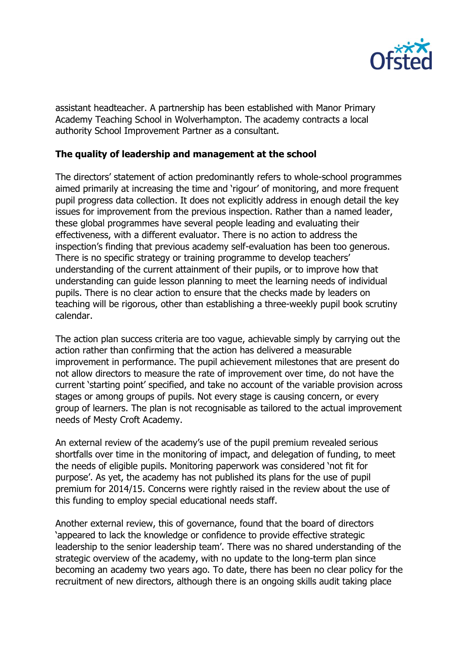

assistant headteacher. A partnership has been established with Manor Primary Academy Teaching School in Wolverhampton. The academy contracts a local authority School Improvement Partner as a consultant.

## **The quality of leadership and management at the school**

The directors' statement of action predominantly refers to whole-school programmes aimed primarily at increasing the time and 'rigour' of monitoring, and more frequent pupil progress data collection. It does not explicitly address in enough detail the key issues for improvement from the previous inspection. Rather than a named leader, these global programmes have several people leading and evaluating their effectiveness, with a different evaluator. There is no action to address the inspection's finding that previous academy self-evaluation has been too generous. There is no specific strategy or training programme to develop teachers' understanding of the current attainment of their pupils, or to improve how that understanding can guide lesson planning to meet the learning needs of individual pupils. There is no clear action to ensure that the checks made by leaders on teaching will be rigorous, other than establishing a three-weekly pupil book scrutiny calendar.

The action plan success criteria are too vague, achievable simply by carrying out the action rather than confirming that the action has delivered a measurable improvement in performance. The pupil achievement milestones that are present do not allow directors to measure the rate of improvement over time, do not have the current 'starting point' specified, and take no account of the variable provision across stages or among groups of pupils. Not every stage is causing concern, or every group of learners. The plan is not recognisable as tailored to the actual improvement needs of Mesty Croft Academy.

An external review of the academy's use of the pupil premium revealed serious shortfalls over time in the monitoring of impact, and delegation of funding, to meet the needs of eligible pupils. Monitoring paperwork was considered 'not fit for purpose'. As yet, the academy has not published its plans for the use of pupil premium for 2014/15. Concerns were rightly raised in the review about the use of this funding to employ special educational needs staff.

Another external review, this of governance, found that the board of directors 'appeared to lack the knowledge or confidence to provide effective strategic leadership to the senior leadership team'. There was no shared understanding of the strategic overview of the academy, with no update to the long-term plan since becoming an academy two years ago. To date, there has been no clear policy for the recruitment of new directors, although there is an ongoing skills audit taking place